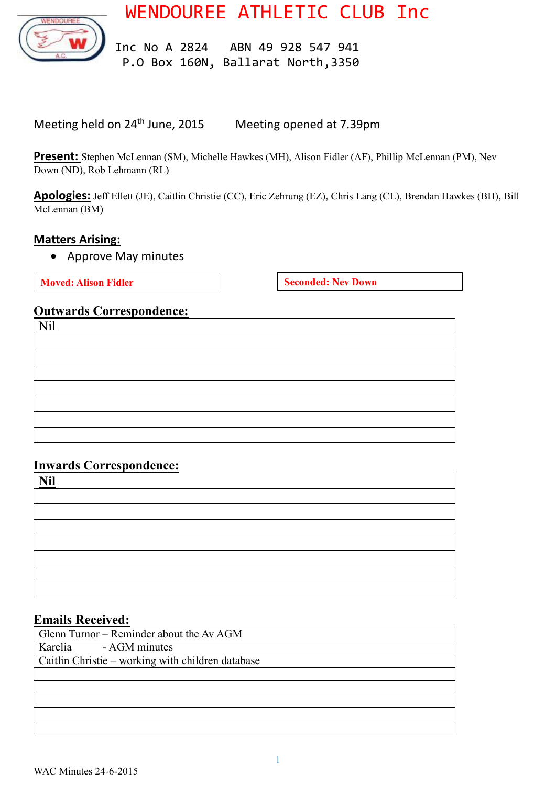WENDOUREE ATHLETIC CLUB Inc



 Inc No A 2824 ABN 49 928 547 941 P.O Box 160N, Ballarat North,3350

Meeting held on 24<sup>th</sup> June, 2015 Meeting opened at 7.39pm

**Present:** Stephen McLennan (SM), Michelle Hawkes (MH), Alison Fidler (AF), Phillip McLennan (PM), Nev Down (ND), Rob Lehmann (RL)

**Apologies:** Jeff Ellett (JE), Caitlin Christie (CC), Eric Zehrung (EZ), Chris Lang (CL), Brendan Hawkes (BH), Bill McLennan (BM)

#### **Matters Arising:**

Approve May minutes

**Moved:** Alison Fidler **Seconded:** Nev Down

# **Outwards Correspondence:**

| Nil |  |  |
|-----|--|--|
|     |  |  |
|     |  |  |
|     |  |  |
|     |  |  |
|     |  |  |
|     |  |  |
|     |  |  |

#### **Inwards Correspondence:**

| <b>Nil</b> |  |  |
|------------|--|--|
|            |  |  |
|            |  |  |
|            |  |  |
|            |  |  |
|            |  |  |
|            |  |  |
|            |  |  |
|            |  |  |

#### **Emails Received:**

| Glenn Turnor – Reminder about the Av AGM          |
|---------------------------------------------------|
| Karelia - AGM minutes                             |
| Caitlin Christie – working with children database |
|                                                   |
|                                                   |
|                                                   |
|                                                   |
|                                                   |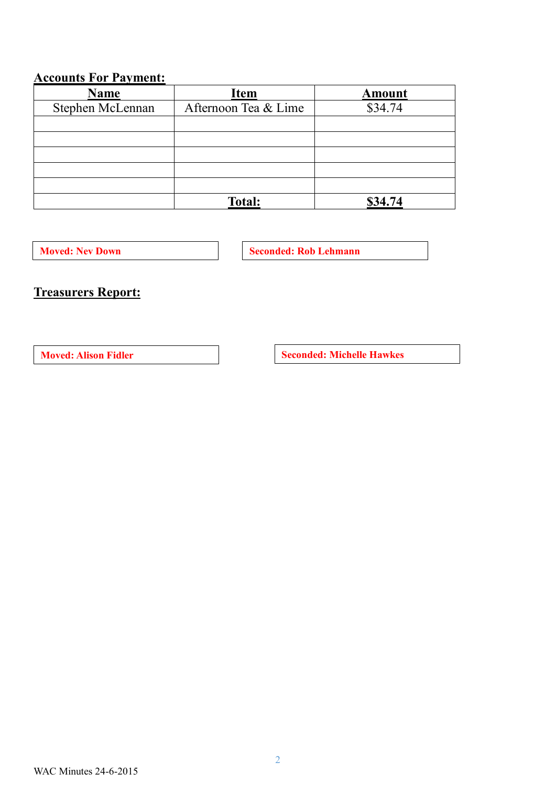# **Accounts For Payment:**

| <b>Name</b>      | <b>Item</b>          | <b>Amount</b> |  |
|------------------|----------------------|---------------|--|
| Stephen McLennan | Afternoon Tea & Lime | \$34.74       |  |
|                  |                      |               |  |
|                  |                      |               |  |
|                  |                      |               |  |
|                  |                      |               |  |
|                  |                      |               |  |
|                  | <b>Total:</b>        | \$34.74       |  |

**Moved:** Nev Down **Seconded:** Rob Lehmann

# **Treasurers Report:**

**Moved:** Alison Fidler **Seconded:** Michelle Hawkes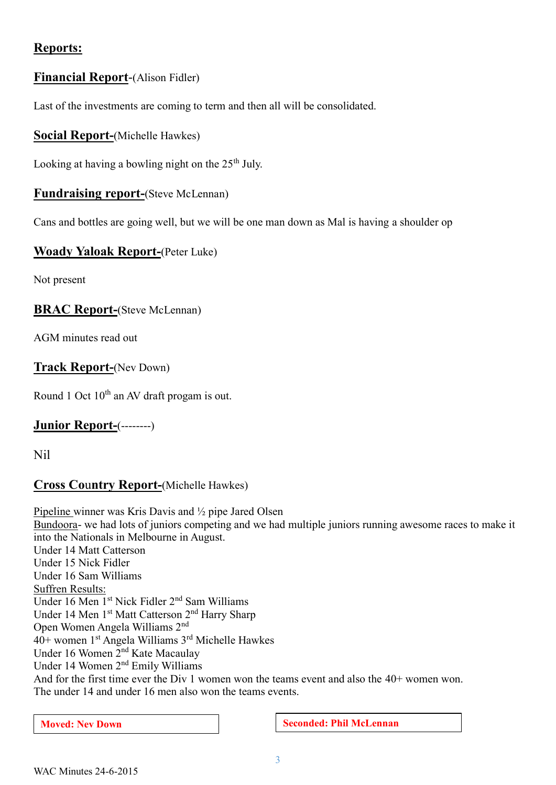# **Reports:**

# **Financial Report**-(Alison Fidler)

Last of the investments are coming to term and then all will be consolidated.

# **Social Report-**(Michelle Hawkes)

Looking at having a bowling night on the  $25<sup>th</sup>$  July.

#### **Fundraising report-**(Steve McLennan)

Cans and bottles are going well, but we will be one man down as Mal is having a shoulder op

#### **Woady Yaloak Report-**(Peter Luke)

Not present

#### **BRAC Report-**(Steve McLennan)

AGM minutes read out

# **Track Report-**(Nev Down)

Round 1 Oct  $10^{th}$  an AV draft progam is out.

# **Junior Report-**(--------)

Nil

# **Cross Co**u**ntry Report-**(Michelle Hawkes)

Pipeline winner was Kris Davis and ½ pipe Jared Olsen Bundoora- we had lots of juniors competing and we had multiple juniors running awesome races to make it into the Nationals in Melbourne in August. Under 14 Matt Catterson Under 15 Nick Fidler Under 16 Sam Williams Suffren Results: Under 16 Men 1st Nick Fidler 2nd Sam Williams Under 14 Men 1<sup>st</sup> Matt Catterson 2<sup>nd</sup> Harry Sharp Open Women Angela Williams 2nd 40+ women 1<sup>st</sup> Angela Williams 3<sup>rd</sup> Michelle Hawkes Under 16 Women 2nd Kate Macaulay Under 14 Women 2nd Emily Williams And for the first time ever the Div 1 women won the teams event and also the 40+ women won. The under 14 and under 16 men also won the teams events.

**Moved:** Nev Down **Seconded: Phil McLennan**